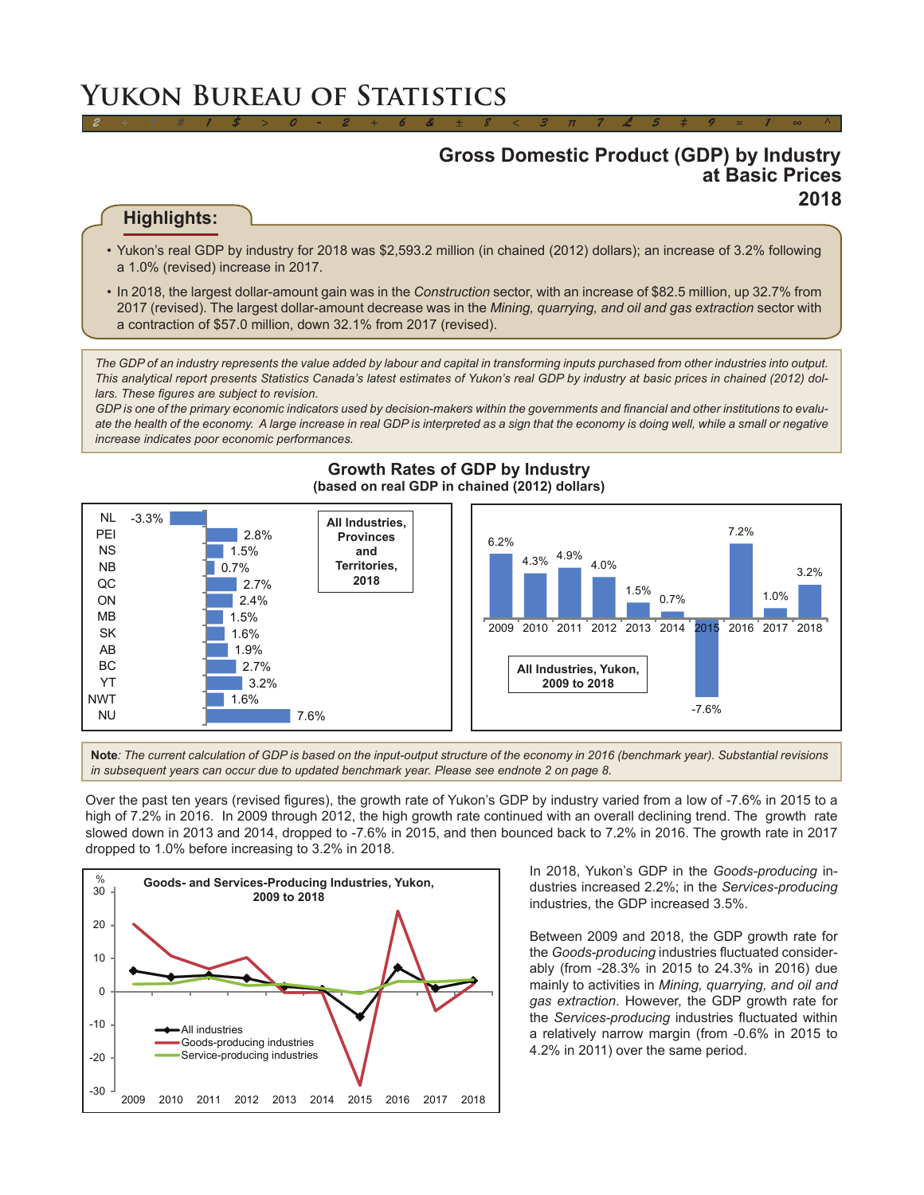# **Yukon Bureau of Statistics**

# **Gross Domestic Product (GDP) by Industry at Basic Prices 2018**

# **Highlights:**

• Yukon's real GDP by industry for 2018 was \$2,593.2 million (in chained (2012) dollars); an increase of 3.2% following a 1.0% (revised) increase in 2017.

*2 ÷ 9 # 1 \$ > 0 - 2 + 6 & ± 8 < 3 π 7 £ 5 ‡ 9 ≈ 1 ∞ ^*

• In 2018, the largest dollar-amount gain was in the *Construction* sector, with an increase of \$82.5 million, up 32.7% from 2017 (revised). The largest dollar-amount decrease was in the *Mining, quarrying, and oil and gas extraction* sector with a contraction of \$57.0 million, down 32.1% from 2017 (revised).

*The GDP of an industry represents the value added by labour and capital in transforming inputs purchased from other industries into output. This analytical report presents Statistics Canada's latest estimates of Yukon's real GDP by industry at basic prices in chained (2012) dollars. These figures are subject to revision.*

*GDP is one of the primary economic indicators used by decision-makers within the governments and financial and other institutions to evalu*ate the health of the economy. A large increase in real GDP is interpreted as a sign that the economy is doing well, while a small or negative *increase indicates poor economic performances.*



### **Growth Rates of GDP by Industry (based on real GDP in chained (2012) dollars)**

**Note***: The current calculation of GDP is based on the input-output structure of the economy in 2016 (benchmark year). Substantial revisions in subsequent years can occur due to updated benchmark year. Please see endnote 2 on page 8.*

Over the past ten years (revised figures), the growth rate of Yukon's GDP by industry varied from a low of -7.6% in 2015 to a high of 7.2% in 2016. In 2009 through 2012, the high growth rate continued with an overall declining trend. The growth rate slowed down in 2013 and 2014, dropped to -7.6% in 2015, and then bounced back to 7.2% in 2016. The growth rate in 2017 dropped to 1.0% before increasing to 3.2% in 2018.



In 2018, Yukon's GDP in the *Goods-producing* industries increased 2.2%; in the *Services-producing*  industries, the GDP increased 3.5%.

Between 2009 and 2018, the GDP growth rate for the *Goods-producing* industries fluctuated considerably (from -28.3% in 2015 to 24.3% in 2016) due mainly to activities in *Mining, quarrying, and oil and gas extraction*. However, the GDP growth rate for the *Services-producing* industries fluctuated within a relatively narrow margin (from -0.6% in 2015 to 4.2% in 2011) over the same period.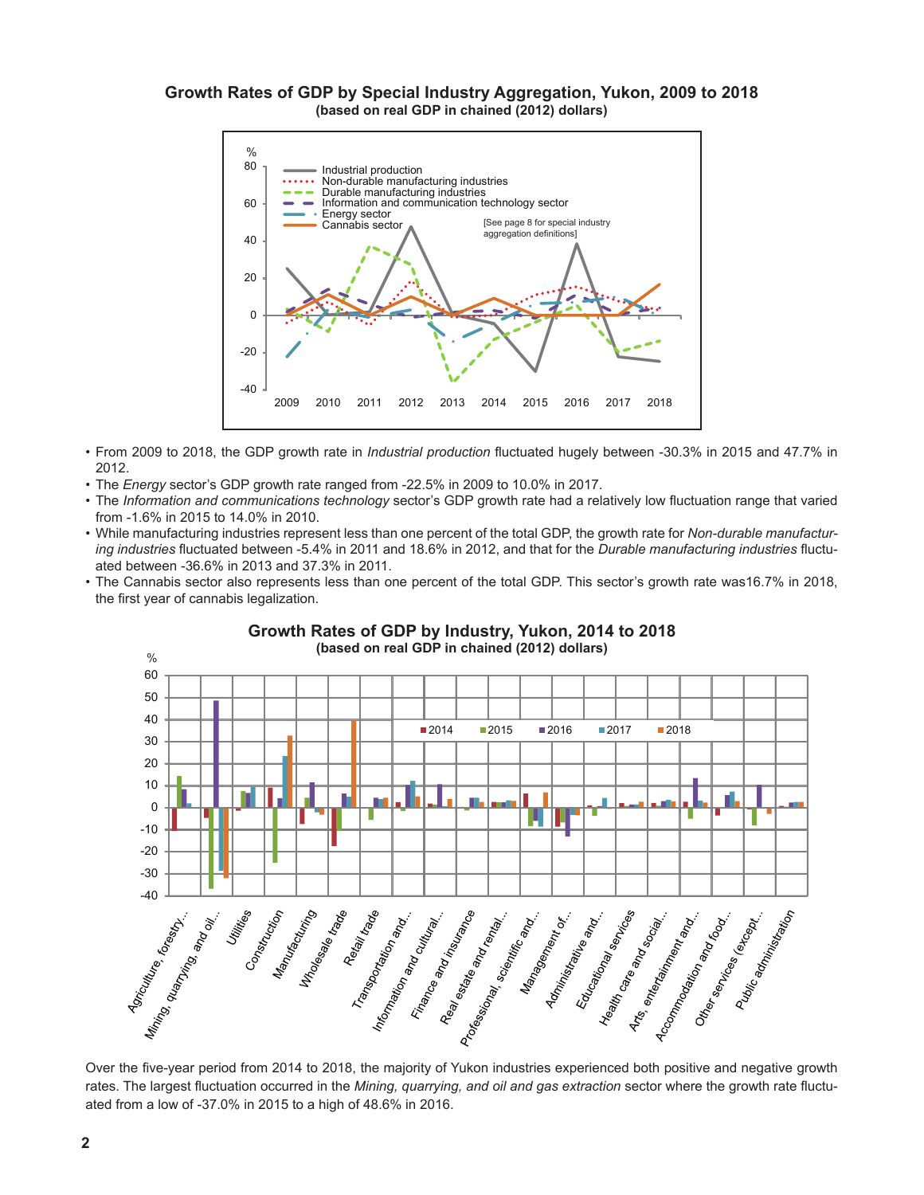# **Growth Rates of GDP by Special Industry Aggregation, Yukon, 2009 to 2018 (based on real GDP in chained (2012) dollars)**



- From 2009 to 2018, the GDP growth rate in *Industrial production* fluctuated hugely between -30.3% in 2015 and 47.7% in 2012.
- The *Energy* sector's GDP growth rate ranged from -22.5% in 2009 to 10.0% in 2017.
- The *Information and communications technology* sector's GDP growth rate had a relatively low fluctuation range that varied from -1.6% in 2015 to 14.0% in 2010.
- While manufacturing industries represent less than one percent of the total GDP, the growth rate for *Non-durable manufacturing industries* fluctuated between -5.4% in 2011 and 18.6% in 2012, and that for the *Durable manufacturing industries* fluctuated between -36.6% in 2013 and 37.3% in 2011.
- The Cannabis sector also represents less than one percent of the total GDP. This sector's growth rate was16.7% in 2018, the first year of cannabis legalization.



#### **Growth Rates of GDP by Industry, Yukon, 2014 to 2018 (based on real GDP in chained (2012) dollars)**

rates. The largest fluctuation occurred in the *Mining, quarrying, and oil and gas extraction* sector where the growth rate fluctuated from a low of -37.0% in 2015 to a high of 48.6% in 2016.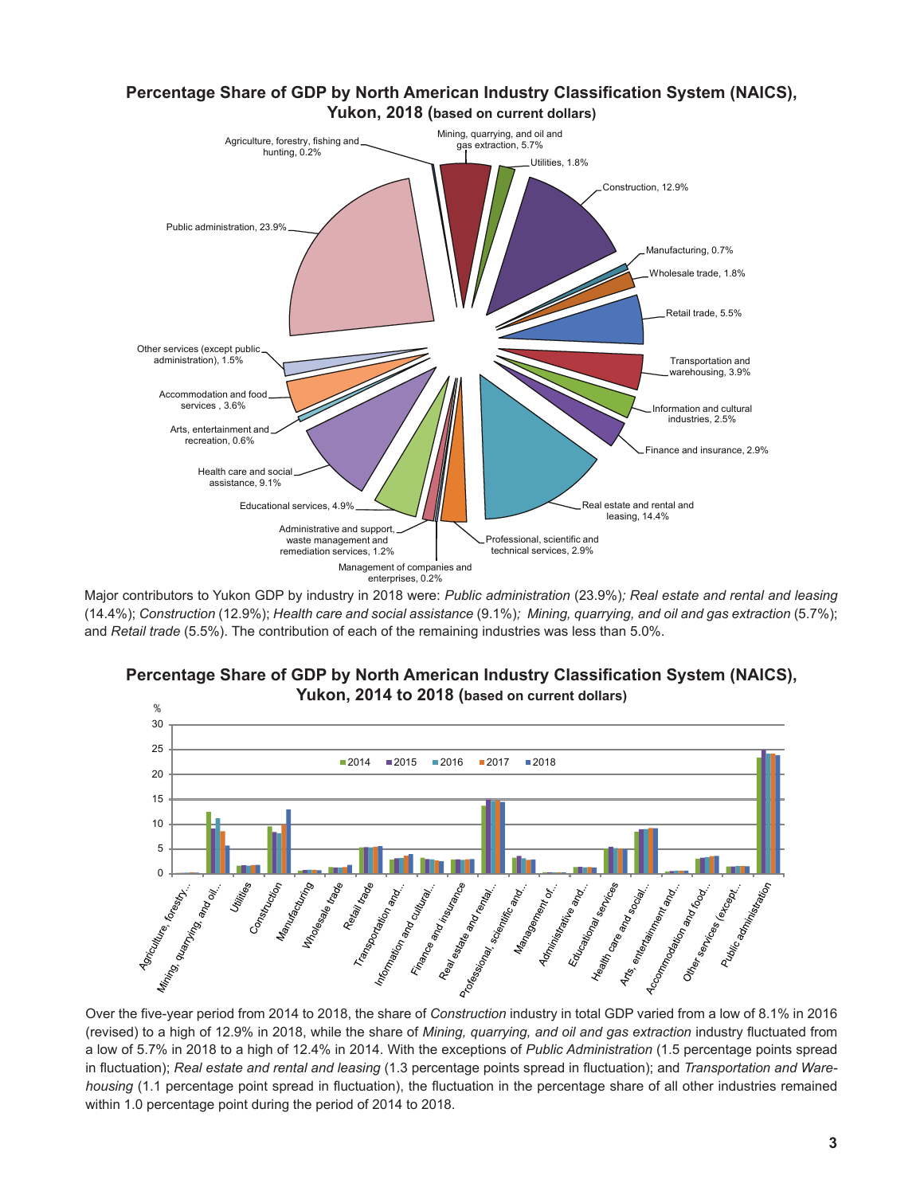

Major contributors to Yukon GDP by industry in 2018 were: *Public administration* (23.9%)*; Real estate and rental and leasing*  (14.4%); *Construction* (12.9%); *Health care and social assistance* (9.1%)*; Mining, quarrying, and oil and gas extraction* (5.7%); and *Retail trade* (5.5%). The contribution of each of the remaining industries was less than 5.0%.





(revised) to a high of 12.9% in 2018, while the share of *Mining, quarrying, and oil and gas extraction* industry fluctuated from a low of 5.7% in 2018 to a high of 12.4% in 2014. With the exceptions of *Public Administration* (1.5 percentage points spread in fluctuation); *Real estate and rental and leasing* (1.3 percentage points spread in fluctuation); and *Transportation and Warehousing* (1.1 percentage point spread in fluctuation), the fluctuation in the percentage share of all other industries remained within 1.0 percentage point during the period of 2014 to 2018.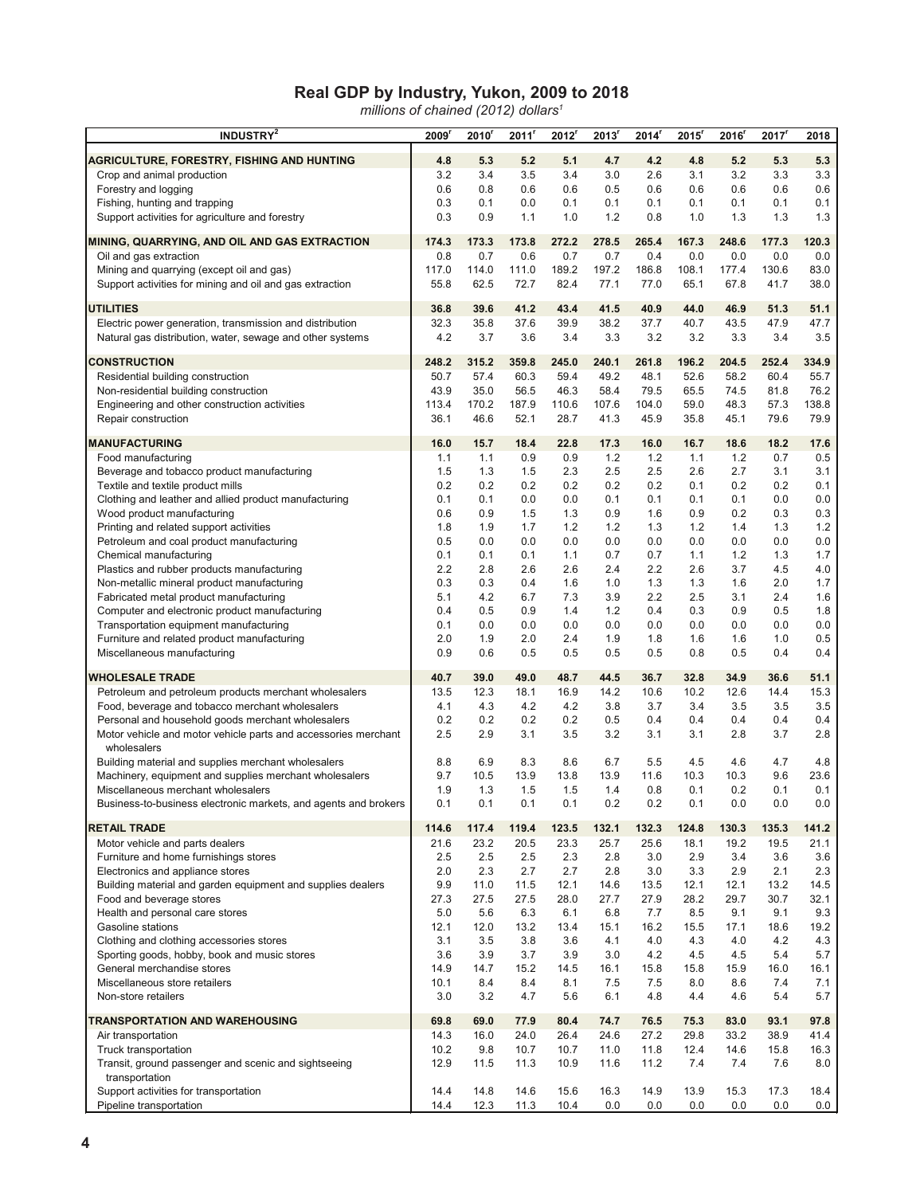# **Real GDP by Industry, Yukon, 2009 to 2018**

*millions of chained (2012) dollars1*

| INDUSTRY <sup>2</sup>                                                                                | 2009        | 2010 <sup>r</sup> | 2011       | 2012       | 2013 <sup>r</sup> | 2014       | 2015 <sup>r</sup> | 2016       | 2017 <sup>r</sup> | 2018       |
|------------------------------------------------------------------------------------------------------|-------------|-------------------|------------|------------|-------------------|------------|-------------------|------------|-------------------|------------|
| <b>AGRICULTURE, FORESTRY, FISHING AND HUNTING</b>                                                    | 4.8         | 5.3               | 5.2        | 5.1        | 4.7               | 4.2        | 4.8               | 5.2        | 5.3               | 5.3        |
| Crop and animal production                                                                           | 3.2         | 3.4               | 3.5        | 3.4        | 3.0               | 2.6        | 3.1               | 3.2        | 3.3               | 3.3        |
| Forestry and logging                                                                                 | 0.6         | 0.8               | 0.6        | 0.6        | 0.5               | 0.6        | 0.6               | 0.6        | 0.6               | 0.6        |
| Fishing, hunting and trapping                                                                        | 0.3         | 0.1               | 0.0        | 0.1        | 0.1               | 0.1        | 0.1               | 0.1        | 0.1               | 0.1        |
| Support activities for agriculture and forestry                                                      | 0.3         | 0.9               | 1.1        | 1.0        | 1.2               | 0.8        | 1.0               | 1.3        | 1.3               | 1.3        |
|                                                                                                      |             |                   |            |            |                   |            |                   |            |                   |            |
| MINING, QUARRYING, AND OIL AND GAS EXTRACTION                                                        | 174.3       | 173.3             | 173.8      | 272.2      | 278.5             | 265.4      | 167.3             | 248.6      | 177.3             | 120.3      |
| Oil and gas extraction                                                                               | 0.8         | 0.7               | 0.6        | 0.7        | 0.7               | 0.4        | 0.0               | 0.0        | 0.0               | 0.0        |
| Mining and quarrying (except oil and gas)                                                            | 117.0       | 114.0             | 111.0      | 189.2      | 197.2             | 186.8      | 108.1             | 177.4      | 130.6             | 83.0       |
| Support activities for mining and oil and gas extraction                                             | 55.8        | 62.5              | 72.7       | 82.4       | 77.1              | 77.0       | 65.1              | 67.8       | 41.7              | 38.0       |
| <b>UTILITIES</b>                                                                                     | 36.8        | 39.6              | 41.2       | 43.4       | 41.5              | 40.9       | 44.0              | 46.9       | 51.3              | 51.1       |
| Electric power generation, transmission and distribution                                             | 32.3        | 35.8              | 37.6       | 39.9       | 38.2              | 37.7       | 40.7              | 43.5       | 47.9              | 47.7       |
| Natural gas distribution, water, sewage and other systems                                            | 4.2         | 3.7               | 3.6        | 3.4        | 3.3               | 3.2        | 3.2               | 3.3        | 3.4               | 3.5        |
| <b>CONSTRUCTION</b>                                                                                  | 248.2       | 315.2             | 359.8      | 245.0      | 240.1             | 261.8      | 196.2             | 204.5      | 252.4             | 334.9      |
| Residential building construction                                                                    | 50.7        | 57.4              | 60.3       | 59.4       | 49.2              | 48.1       | 52.6              | 58.2       | 60.4              | 55.7       |
| Non-residential building construction                                                                | 43.9        | 35.0              | 56.5       | 46.3       | 58.4              | 79.5       | 65.5              | 74.5       | 81.8              | 76.2       |
| Engineering and other construction activities                                                        | 113.4       | 170.2             | 187.9      | 110.6      | 107.6             | 104.0      | 59.0              | 48.3       | 57.3              | 138.8      |
| Repair construction                                                                                  | 36.1        | 46.6              | 52.1       | 28.7       | 41.3              | 45.9       | 35.8              | 45.1       | 79.6              | 79.9       |
|                                                                                                      |             |                   |            |            |                   |            |                   |            |                   |            |
| <b>MANUFACTURING</b>                                                                                 | 16.0        | 15.7              | 18.4       | 22.8       | 17.3              | 16.0       | 16.7              | 18.6       | 18.2              | 17.6       |
| Food manufacturing<br>Beverage and tobacco product manufacturing                                     | 1.1<br>1.5  | 1.1               | 0.9        | 0.9<br>2.3 | 1.2<br>2.5        | 1.2<br>2.5 | 1.1<br>2.6        | 1.2<br>2.7 | 0.7<br>3.1        | 0.5<br>3.1 |
|                                                                                                      |             | 1.3               | 1.5        |            |                   |            |                   |            |                   | 0.1        |
| Textile and textile product mills                                                                    | 0.2         | 0.2               | 0.2        | 0.2        | 0.2               | 0.2        | 0.1               | 0.2        | 0.2               |            |
| Clothing and leather and allied product manufacturing                                                | 0.1<br>0.6  | 0.1<br>0.9        | 0.0<br>1.5 | 0.0<br>1.3 | 0.1<br>0.9        | 0.1<br>1.6 | 0.1<br>0.9        | 0.1        | 0.0<br>0.3        | 0.0<br>0.3 |
| Wood product manufacturing                                                                           | 1.8         | 1.9               |            | 1.2        | 1.2               |            | 1.2               | 0.2<br>1.4 |                   | 1.2        |
| Printing and related support activities                                                              | 0.5         |                   | 1.7        |            |                   | 1.3        | 0.0               | 0.0        | 1.3<br>0.0        |            |
| Petroleum and coal product manufacturing                                                             | 0.1         | 0.0<br>0.1        | 0.0<br>0.1 | 0.0<br>1.1 | 0.0<br>0.7        | 0.0<br>0.7 | 1.1               | 1.2        | 1.3               | 0.0<br>1.7 |
| Chemical manufacturing<br>Plastics and rubber products manufacturing                                 | 2.2         | 2.8               | 2.6        | 2.6        | 2.4               | 2.2        | 2.6               | 3.7        | 4.5               | 4.0        |
|                                                                                                      | 0.3         | 0.3               | 0.4        | 1.6        | 1.0               | 1.3        | 1.3               | 1.6        | 2.0               | 1.7        |
| Non-metallic mineral product manufacturing<br>Fabricated metal product manufacturing                 | 5.1         | 4.2               | 6.7        | 7.3        | 3.9               | 2.2        | 2.5               | 3.1        | 2.4               | 1.6        |
| Computer and electronic product manufacturing                                                        | 0.4         | 0.5               | 0.9        | 1.4        | 1.2               | 0.4        | 0.3               | 0.9        | 0.5               | 1.8        |
| Transportation equipment manufacturing                                                               | 0.1         | 0.0               | 0.0        | 0.0        | 0.0               | 0.0        | 0.0               | 0.0        | 0.0               | 0.0        |
| Furniture and related product manufacturing                                                          | 2.0         | 1.9               | 2.0        | 2.4        | 1.9               | 1.8        | 1.6               | 1.6        | 1.0               | 0.5        |
| Miscellaneous manufacturing                                                                          | 0.9         | 0.6               | 0.5        | 0.5        | 0.5               | 0.5        | 0.8               | 0.5        | 0.4               | 0.4        |
|                                                                                                      |             |                   |            |            |                   |            |                   |            |                   |            |
| <b>WHOLESALE TRADE</b>                                                                               | 40.7        | 39.0              | 49.0       | 48.7       | 44.5              | 36.7       | 32.8              | 34.9       | 36.6              | 51.1       |
| Petroleum and petroleum products merchant wholesalers                                                | 13.5        | 12.3              | 18.1       | 16.9       | 14.2              | 10.6       | 10.2              | 12.6       | 14.4              | 15.3       |
| Food, beverage and tobacco merchant wholesalers<br>Personal and household goods merchant wholesalers | 4.1<br>0.2  | 4.3<br>0.2        | 4.2<br>0.2 | 4.2        | 3.8               | 3.7        | 3.4               | 3.5        | 3.5               | 3.5        |
|                                                                                                      | 2.5         |                   |            | 0.2        | 0.5<br>3.2        | 0.4<br>3.1 | 0.4<br>3.1        | 0.4<br>2.8 | 0.4<br>3.7        | 0.4<br>2.8 |
| Motor vehicle and motor vehicle parts and accessories merchant<br>wholesalers                        |             | 2.9               | 3.1        | 3.5        |                   |            |                   |            |                   |            |
| Building material and supplies merchant wholesalers                                                  | 8.8         | 6.9               | 8.3        | 8.6        | 6.7               | 5.5        | 4.5               | 4.6        | 4.7               | 4.8        |
| Machinery, equipment and supplies merchant wholesalers                                               | 9.7         | 10.5              | 13.9       | 13.8       | 13.9              | 11.6       | 10.3              | 10.3       | 9.6               | 23.6       |
| Miscellaneous merchant wholesalers                                                                   | 1.9         | 1.3               | 1.5        | 1.5        | 1.4               | 0.8        | 0.1               | 0.2        | 0.1               | 0.1        |
| Business-to-business electronic markets, and agents and brokers                                      | 0.1         | 0.1               | 0.1        | 0.1        | $0.2\,$           | 0.2        | 0.1               | 0.0        | $0.0\,$           | $0.0\,$    |
| <b>RETAIL TRADE</b>                                                                                  | 114.6       | 117.4             | 119.4      | 123.5      | 132.1             | 132.3      | 124.8             | 130.3      | 135.3             | 141.2      |
| Motor vehicle and parts dealers                                                                      | 21.6        | 23.2              | 20.5       | 23.3       | 25.7              | 25.6       | 18.1              | 19.2       | 19.5              | 21.1       |
| Furniture and home furnishings stores                                                                | 2.5         | 2.5               | 2.5        | 2.3        | 2.8               | 3.0        | 2.9               | 3.4        | 3.6               | 3.6        |
| Electronics and appliance stores                                                                     | 2.0         | 2.3               | 2.7        | 2.7        | 2.8               | 3.0        | 3.3               | 2.9        | 2.1               | 2.3        |
| Building material and garden equipment and supplies dealers                                          | 9.9         | 11.0              | 11.5       | 12.1       | 14.6              | 13.5       | 12.1              | 12.1       | 13.2              | 14.5       |
| Food and beverage stores                                                                             | 27.3        | 27.5              | 27.5       | 28.0       | 27.7              | 27.9       | 28.2              | 29.7       | 30.7              | 32.1       |
| Health and personal care stores                                                                      | 5.0         | 5.6               | 6.3        | 6.1        | 6.8               | 7.7        | 8.5               | 9.1        | 9.1               | 9.3        |
| Gasoline stations                                                                                    | 12.1        | 12.0              | 13.2       | 13.4       | 15.1              | 16.2       | 15.5              | 17.1       | 18.6              | 19.2       |
| Clothing and clothing accessories stores                                                             | 3.1         | 3.5               | 3.8        | 3.6        | 4.1               | 4.0        | 4.3               | 4.0        | 4.2               | 4.3        |
| Sporting goods, hobby, book and music stores                                                         | 3.6         | 3.9               | 3.7        | 3.9        | 3.0               | 4.2        | 4.5               | 4.5        | 5.4               | 5.7        |
| General merchandise stores                                                                           | 14.9        | 14.7              | 15.2       | 14.5       | 16.1              | 15.8       | 15.8              | 15.9       | 16.0              | 16.1       |
| Miscellaneous store retailers<br>Non-store retailers                                                 | 10.1<br>3.0 | 8.4<br>3.2        | 8.4<br>4.7 | 8.1<br>5.6 | 7.5<br>6.1        | 7.5<br>4.8 | 8.0<br>4.4        | 8.6<br>4.6 | 7.4<br>5.4        | 7.1<br>5.7 |
|                                                                                                      |             |                   |            |            |                   |            |                   |            |                   |            |
| TRANSPORTATION AND WAREHOUSING                                                                       | 69.8        | 69.0              | 77.9       | 80.4       | 74.7              | 76.5       | 75.3              | 83.0       | 93.1              | 97.8       |
| Air transportation                                                                                   | 14.3        | 16.0              | 24.0       | 26.4       | 24.6              | 27.2       | 29.8              | 33.2       | 38.9              | 41.4       |
| Truck transportation                                                                                 | 10.2        | 9.8               | 10.7       | 10.7       | 11.0              | 11.8       | 12.4              | 14.6       | 15.8              | 16.3       |
| Transit, ground passenger and scenic and sightseeing<br>transportation                               | 12.9        | 11.5              | 11.3       | 10.9       | 11.6              | 11.2       | 7.4               | 7.4        | 7.6               | 8.0        |
| Support activities for transportation                                                                | 14.4        | 14.8              | 14.6       | 15.6       | 16.3              | 14.9       | 13.9              | 15.3       | 17.3              | 18.4       |
| Pipeline transportation                                                                              | 14.4        | 12.3              | 11.3       | 10.4       | 0.0               | 0.0        | 0.0               | 0.0        | 0.0               | 0.0        |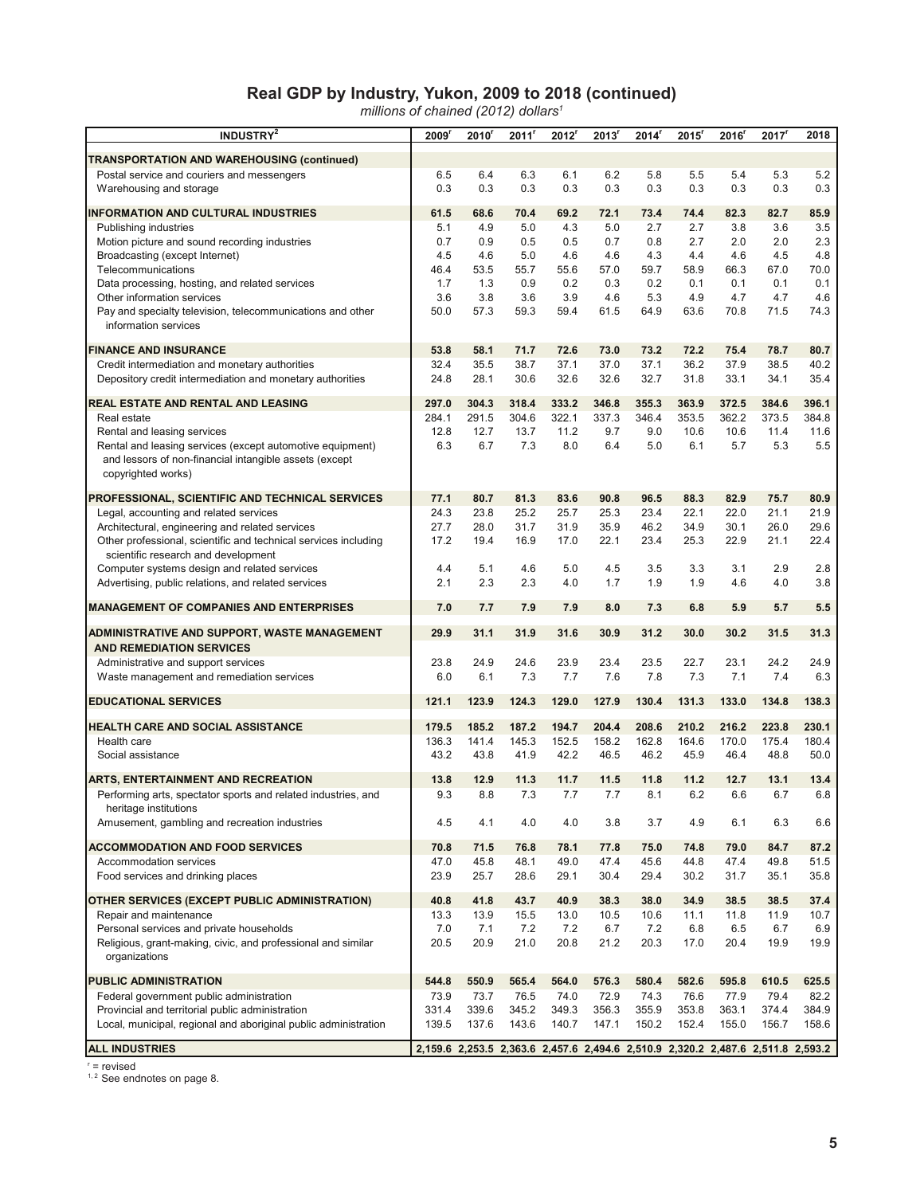# **Real GDP by Industry, Yukon, 2009 to 2018 (continued)**

*millions of chained (2012) dollars1*

| INDUSTRY <sup>2</sup>                                                                    | 2009'       | 2010        | 2011'       | 2012 <sup>r</sup> | 2013 <sup>r</sup> | 2014 <sup>r</sup> | 2015 <sup>r</sup>                                                               | 2016        | 2017        | 2018        |
|------------------------------------------------------------------------------------------|-------------|-------------|-------------|-------------------|-------------------|-------------------|---------------------------------------------------------------------------------|-------------|-------------|-------------|
| TRANSPORTATION AND WAREHOUSING (continued)                                               |             |             |             |                   |                   |                   |                                                                                 |             |             |             |
| Postal service and couriers and messengers                                               | 6.5         | 6.4         | 6.3         | 6.1               | 6.2               | 5.8               | 5.5                                                                             | 5.4         | 5.3         | 5.2         |
| Warehousing and storage                                                                  | 0.3         | 0.3         | 0.3         | 0.3               | 0.3               | 0.3               | 0.3                                                                             | 0.3         | 0.3         | 0.3         |
| <b>INFORMATION AND CULTURAL INDUSTRIES</b>                                               | 61.5        | 68.6        | 70.4        | 69.2              | 72.1              | 73.4              | 74.4                                                                            | 82.3        | 82.7        | 85.9        |
| Publishing industries                                                                    | 5.1         | 4.9         | 5.0         | 4.3               | 5.0               | 2.7               | 2.7                                                                             | 3.8         | 3.6         | 3.5         |
| Motion picture and sound recording industries                                            | 0.7         | 0.9         | 0.5         | 0.5               | 0.7               | 0.8               | 2.7                                                                             | 2.0         | 2.0         | 2.3         |
| Broadcasting (except Internet)                                                           | 4.5         | 4.6         | 5.0         | 4.6               | 4.6               | 4.3               | 4.4                                                                             | 4.6         | 4.5         | 4.8         |
| Telecommunications                                                                       | 46.4        | 53.5        | 55.7        | 55.6              | 57.0              | 59.7              | 58.9                                                                            | 66.3        | 67.0        | 70.0        |
| Data processing, hosting, and related services                                           | 1.7         | 1.3         | 0.9         | 0.2               | 0.3               | 0.2               | 0.1                                                                             | 0.1         | 0.1         | 0.1         |
| Other information services<br>Pay and specialty television, telecommunications and other | 3.6<br>50.0 | 3.8<br>57.3 | 3.6<br>59.3 | 3.9<br>59.4       | 4.6<br>61.5       | 5.3<br>64.9       | 4.9<br>63.6                                                                     | 4.7<br>70.8 | 4.7<br>71.5 | 4.6<br>74.3 |
| information services                                                                     |             |             |             |                   |                   |                   |                                                                                 |             |             |             |
| <b>FINANCE AND INSURANCE</b>                                                             | 53.8        | 58.1        | 71.7        | 72.6              | 73.0              | 73.2              | 72.2                                                                            | 75.4        | 78.7        | 80.7        |
| Credit intermediation and monetary authorities                                           | 32.4        | 35.5        | 38.7        | 37.1              | 37.0              | 37.1              | 36.2                                                                            | 37.9        | 38.5        | 40.2        |
| Depository credit intermediation and monetary authorities                                | 24.8        | 28.1        | 30.6        | 32.6              | 32.6              | 32.7              | 31.8                                                                            | 33.1        | 34.1        | 35.4        |
| REAL ESTATE AND RENTAL AND LEASING                                                       | 297.0       | 304.3       | 318.4       | 333.2             | 346.8             | 355.3             | 363.9                                                                           | 372.5       | 384.6       | 396.1       |
| Real estate                                                                              | 284.1       | 291.5       | 304.6       | 322.1             | 337.3             | 346.4             | 353.5                                                                           | 362.2       | 373.5       | 384.8       |
| Rental and leasing services                                                              | 12.8        | 12.7        | 13.7        | 11.2              | 9.7               | 9.0               | 10.6                                                                            | 10.6        | 11.4        | 11.6        |
| Rental and leasing services (except automotive equipment)                                | 6.3         | 6.7         | 7.3         | 8.0               | 6.4               | 5.0               | 6.1                                                                             | 5.7         | 5.3         | 5.5         |
| and lessors of non-financial intangible assets (except<br>copyrighted works)             |             |             |             |                   |                   |                   |                                                                                 |             |             |             |
| PROFESSIONAL, SCIENTIFIC AND TECHNICAL SERVICES                                          | 77.1        | 80.7        | 81.3        | 83.6              | 90.8              | 96.5              | 88.3                                                                            | 82.9        | 75.7        | 80.9        |
| Legal, accounting and related services                                                   | 24.3        | 23.8        | 25.2        | 25.7              | 25.3              | 23.4              | 22.1                                                                            | 22.0        | 21.1        | 21.9        |
| Architectural, engineering and related services                                          | 27.7        | 28.0        | 31.7        | 31.9              | 35.9              | 46.2              | 34.9                                                                            | 30.1        | 26.0        | 29.6        |
| Other professional, scientific and technical services including                          | 17.2        | 19.4        | 16.9        | 17.0              | 22.1              | 23.4              | 25.3                                                                            | 22.9        | 21.1        | 22.4        |
| scientific research and development                                                      |             |             |             |                   |                   |                   |                                                                                 |             |             |             |
| Computer systems design and related services                                             | 4.4         | 5.1         | 4.6         | 5.0               | 4.5               | 3.5               | 3.3                                                                             | 3.1         | 2.9         | 2.8         |
| Advertising, public relations, and related services                                      | 2.1         | 2.3         | 2.3         | 4.0               | 1.7               | 1.9               | 1.9                                                                             | 4.6         | 4.0         | 3.8         |
| <b>MANAGEMENT OF COMPANIES AND ENTERPRISES</b>                                           | 7.0         | 7.7         | 7.9         | 7.9               | 8.0               | 7.3               | 6.8                                                                             | 5.9         | 5.7         | 5.5         |
| ADMINISTRATIVE AND SUPPORT, WASTE MANAGEMENT                                             | 29.9        | 31.1        | 31.9        | 31.6              | 30.9              | 31.2              | 30.0                                                                            | 30.2        | 31.5        | 31.3        |
| <b>AND REMEDIATION SERVICES</b>                                                          |             |             |             |                   |                   |                   |                                                                                 |             |             |             |
| Administrative and support services                                                      | 23.8        | 24.9        | 24.6        | 23.9              | 23.4              | 23.5              | 22.7                                                                            | 23.1        | 24.2        | 24.9        |
| Waste management and remediation services                                                | 6.0         | 6.1         | 7.3         | 7.7               | 7.6               | 7.8               | 7.3                                                                             | 7.1         | 7.4         | 6.3         |
| <b>EDUCATIONAL SERVICES</b>                                                              | 121.1       | 123.9       | 124.3       | 129.0             | 127.9             | 130.4             | 131.3                                                                           | 133.0       | 134.8       | 138.3       |
| <b>HEALTH CARE AND SOCIAL ASSISTANCE</b>                                                 | 179.5       | 185.2       | 187.2       | 194.7             | 204.4             | 208.6             | 210.2                                                                           | 216.2       | 223.8       | 230.1       |
| Health care                                                                              | 136.3       | 141.4       | 145.3       | 152.5             | 158.2             | 162.8             | 164.6                                                                           | 170.0       | 175.4       | 180.4       |
| Social assistance                                                                        | 43.2        | 43.8        | 41.9        | 42.2              | 46.5              | 46.2              | 45.9                                                                            | 46.4        | 48.8        | 50.0        |
| ARTS, ENTERTAINMENT AND RECREATION                                                       | 13.8        | 12.9        | 11.3        | 11.7              | 11.5              | 11.8              | 11.2                                                                            | 12.7        | 13.1        | 13.4        |
| Performing arts, spectator sports and related industries, and                            | 9.3         | 8.8         | 7.3         | 7.7               | 7.7               | 8.1               | 6.2                                                                             | 6.6         | 6.7         | 6.8         |
| heritage institutions                                                                    |             |             |             |                   |                   |                   |                                                                                 |             |             |             |
| Amusement, gambling and recreation industries                                            | 4.5         | 4.1         | 4.0         | 4.0               | 3.8               | 3.7               | 4.9                                                                             | 6.1         | 6.3         | 6.6         |
| <b>ACCOMMODATION AND FOOD SERVICES</b>                                                   | 70.8        | 71.5        | 76.8        | 78.1              | 77.8              | 75.0              | 74.8                                                                            | 79.0        | 84.7        | 87.2        |
| Accommodation services                                                                   | 47.0        | 45.8        | 48.1        | 49.0              | 47.4              | 45.6              | 44.8                                                                            | 47.4        | 49.8        | 51.5        |
| Food services and drinking places                                                        | 23.9        | 25.7        | 28.6        | 29.1              | 30.4              | 29.4              | 30.2                                                                            | 31.7        | 35.1        | 35.8        |
| OTHER SERVICES (EXCEPT PUBLIC ADMINISTRATION)                                            | 40.8        | 41.8        | 43.7        | 40.9              | 38.3              | 38.0              | 34.9                                                                            | 38.5        | 38.5        | 37.4        |
| Repair and maintenance                                                                   | 13.3        | 13.9        | 15.5        | 13.0              | 10.5              | 10.6              | 11.1                                                                            | 11.8        | 11.9        | 10.7        |
| Personal services and private households                                                 | 7.0         | 7.1         | 7.2         | 7.2               | 6.7               | 7.2               | 6.8                                                                             | 6.5         | 6.7         | 6.9         |
| Religious, grant-making, civic, and professional and similar<br>organizations            | 20.5        | 20.9        | 21.0        | 20.8              | 21.2              | 20.3              | 17.0                                                                            | 20.4        | 19.9        | 19.9        |
| <b>PUBLIC ADMINISTRATION</b>                                                             | 544.8       | 550.9       | 565.4       | 564.0             | 576.3             | 580.4             | 582.6                                                                           | 595.8       | 610.5       | 625.5       |
| Federal government public administration                                                 | 73.9        | 73.7        | 76.5        | 74.0              | 72.9              | 74.3              | 76.6                                                                            | 77.9        | 79.4        | 82.2        |
| Provincial and territorial public administration                                         | 331.4       | 339.6       | 345.2       | 349.3             | 356.3             | 355.9             | 353.8                                                                           | 363.1       | 374.4       | 384.9       |
| Local, municipal, regional and aboriginal public administration                          | 139.5       | 137.6       | 143.6       | 140.7             | 147.1             | 150.2             | 152.4                                                                           | 155.0       | 156.7       | 158.6       |
| <b>ALL INDUSTRIES</b>                                                                    |             |             |             |                   |                   |                   | 2,159.6 2,253.5 2,363.6 2,457.6 2,494.6 2,510.9 2,320.2 2,487.6 2,511.8 2,593.2 |             |             |             |

<sup>r</sup> = revised<br><sup>1, 2</sup> See endnotes on page 8.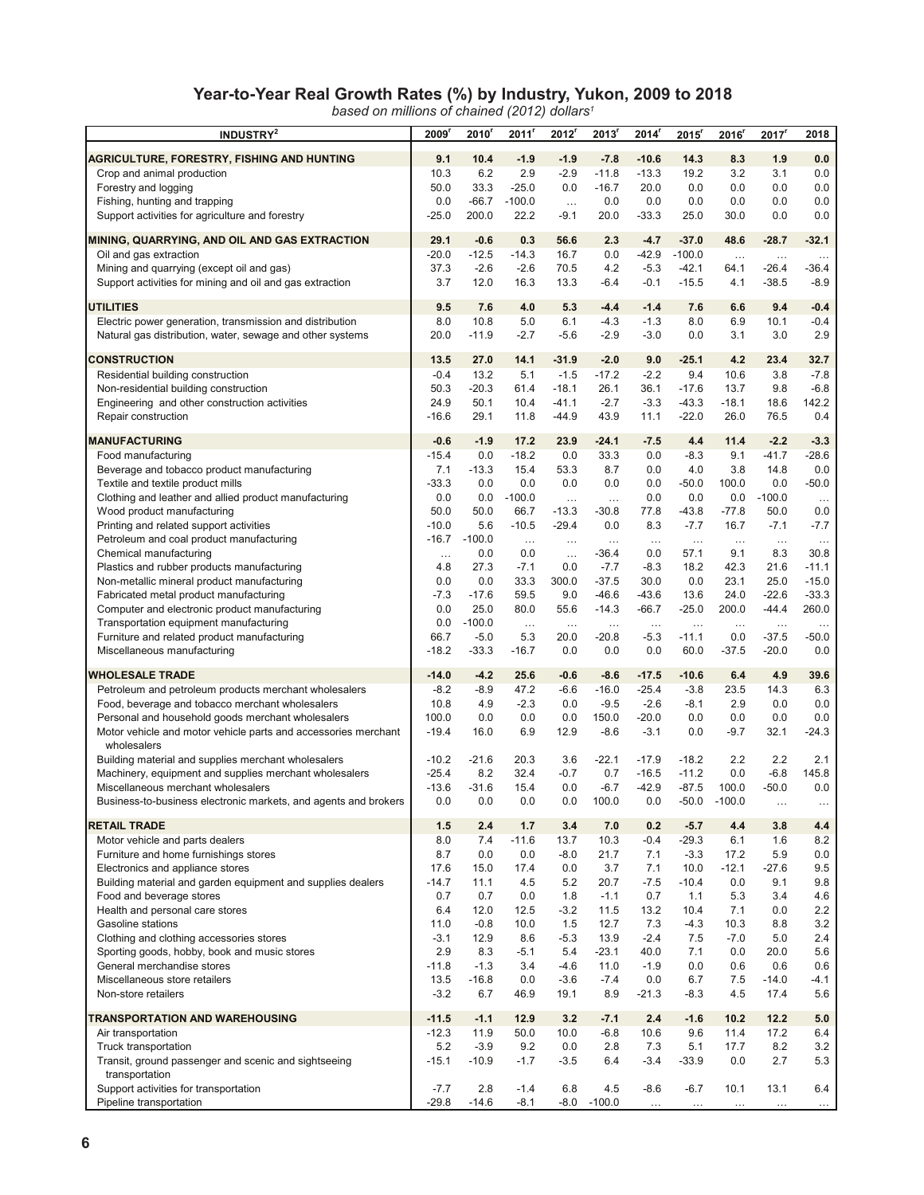# **Year-to-Year Real Growth Rates (%) by Industry, Yukon, 2009 to 2018**

*based on millions of chained (2012) dollars1*

| <b>INDUSTRY<sup>2</sup></b>                                                                           | 2009'          | 2010           | 2011'            | 2012                 | 2013'             | $2014^r$           | 2015 <sup>r</sup>  | 2016 <sup>r</sup> | 2017 <sup>r</sup> | 2018           |
|-------------------------------------------------------------------------------------------------------|----------------|----------------|------------------|----------------------|-------------------|--------------------|--------------------|-------------------|-------------------|----------------|
| AGRICULTURE, FORESTRY, FISHING AND HUNTING                                                            | 9.1            | 10.4           | $-1.9$           | $-1.9$               | $-7.8$            | $-10.6$            | 14.3               | 8.3               | 1.9               | 0.0            |
| Crop and animal production                                                                            | 10.3           | 6.2            | 2.9              | $-2.9$               | $-11.8$           | $-13.3$            | 19.2               | 3.2               | 3.1               | 0.0            |
| Forestry and logging                                                                                  | 50.0           | 33.3           | $-25.0$          | 0.0                  | $-16.7$           | 20.0               | 0.0                | 0.0               | 0.0               | 0.0            |
| Fishing, hunting and trapping                                                                         | 0.0            | $-66.7$        | $-100.0$         | $\ldots$             | 0.0               | 0.0                | 0.0                | 0.0               | 0.0               | 0.0            |
| Support activities for agriculture and forestry                                                       | $-25.0$        | 200.0          | 22.2             | $-9.1$               | 20.0              | $-33.3$            | 25.0               | 30.0              | 0.0               | 0.0            |
|                                                                                                       |                |                |                  |                      |                   |                    |                    |                   |                   |                |
| MINING, QUARRYING, AND OIL AND GAS EXTRACTION                                                         | 29.1           | $-0.6$         | 0.3              | 56.6                 | 2.3               | $-4.7$             | $-37.0$            | 48.6              | $-28.7$           | $-32.1$        |
| Oil and gas extraction                                                                                | $-20.0$        | $-12.5$        | $-14.3$          | 16.7                 | 0.0               | $-42.9$            | $-100.0$           | $\ldots$          | $\cdots$          | $\cdots$       |
| Mining and quarrying (except oil and gas)                                                             | 37.3           | $-2.6$         | $-2.6$           | 70.5                 | 4.2               | $-5.3$             | $-42.1$            | 64.1              | $-26.4$           | -36.4          |
| Support activities for mining and oil and gas extraction                                              | 3.7            | 12.0           | 16.3             | 13.3                 | -6.4              | $-0.1$             | $-15.5$            | 4.1               | $-38.5$           | $-8.9$         |
| <b>UTILITIES</b>                                                                                      | 9.5            | 7.6            | 4.0              | 5.3                  | $-4.4$            | $-1.4$             | 7.6                | 6.6               | 9.4               | $-0.4$         |
| Electric power generation, transmission and distribution                                              | 8.0            | 10.8           | 5.0              | 6.1                  | $-4.3$            | $-1.3$             | 8.0                | 6.9               | 10.1              | $-0.4$         |
| Natural gas distribution, water, sewage and other systems                                             | 20.0           | -11.9          | $-2.7$           | $-5.6$               | -2.9              | $-3.0$             | 0.0                | 3.1               | 3.0               | 2.9            |
|                                                                                                       |                |                |                  |                      |                   |                    |                    |                   |                   |                |
| <b>CONSTRUCTION</b>                                                                                   | 13.5<br>$-0.4$ | 27.0<br>13.2   | 14.1<br>5.1      | $-31.9$<br>$-1.5$    | $-2.0$<br>$-17.2$ | 9.0<br>$-2.2$      | $-25.1$<br>9.4     | 4.2<br>10.6       | 23.4<br>3.8       | 32.7<br>$-7.8$ |
| Residential building construction<br>Non-residential building construction                            | 50.3           | $-20.3$        | 61.4             | $-18.1$              | 26.1              | 36.1               | $-17.6$            | 13.7              | 9.8               | $-6.8$         |
| Engineering and other construction activities                                                         | 24.9           | 50.1           | 10.4             | $-41.1$              | $-2.7$            | $-3.3$             | $-43.3$            | $-18.1$           | 18.6              | 142.2          |
| Repair construction                                                                                   | $-16.6$        | 29.1           | 11.8             | $-44.9$              | 43.9              | 11.1               | $-22.0$            | 26.0              | 76.5              | 0.4            |
|                                                                                                       |                |                |                  |                      |                   |                    |                    |                   |                   |                |
| <b>MANUFACTURING</b>                                                                                  | $-0.6$         | $-1.9$         | 17.2             | 23.9                 | $-24.1$           | $-7.5$             | 4.4                | 11.4              | $-2.2$            | $-3.3$         |
| Food manufacturing                                                                                    | $-15.4$        | 0.0            | $-18.2$          | 0.0                  | 33.3              | 0.0                | $-8.3$             | 9.1               | $-41.7$           | $-28.6$        |
| Beverage and tobacco product manufacturing                                                            | 7.1            | -13.3          | 15.4             | 53.3                 | 8.7               | 0.0                | 4.0                | 3.8               | 14.8              | 0.0            |
| Textile and textile product mills                                                                     | $-33.3$        | 0.0            | 0.0              | 0.0                  | 0.0               | 0.0                | $-50.0$            | 100.0             | 0.0               | $-50.0$        |
| Clothing and leather and allied product manufacturing<br>Wood product manufacturing                   | 0.0<br>50.0    | 0.0<br>50.0    | $-100.0$<br>66.7 | $\ddotsc$<br>$-13.3$ | $\ldots$          | 0.0                | 0.0<br>$-43.8$     | 0.0<br>$-77.8$    | $-100.0$<br>50.0  | $\cdots$       |
| Printing and related support activities                                                               | $-10.0$        | 5.6            | $-10.5$          | $-29.4$              | $-30.8$<br>0.0    | 77.8<br>8.3        | $-7.7$             | 16.7              | $-7.1$            | 0.0<br>$-7.7$  |
| Petroleum and coal product manufacturing                                                              | $-16.7$        | $-100.0$       | $\cdots$         | $\ldots$             | $\cdots$          | $\ldots$           | $\ldots$           | $\cdots$          | $\ldots$          | $\ldots$       |
| Chemical manufacturing                                                                                | $\ldots$       | 0.0            | 0.0              | $\cdots$             | $-36.4$           | 0.0                | 57.1               | 9.1               | 8.3               | 30.8           |
| Plastics and rubber products manufacturing                                                            | 4.8            | 27.3           | $-7.1$           | 0.0                  | $-7.7$            | $-8.3$             | 18.2               | 42.3              | 21.6              | $-11.1$        |
| Non-metallic mineral product manufacturing                                                            | 0.0            | 0.0            | 33.3             | 300.0                | $-37.5$           | 30.0               | 0.0                | 23.1              | 25.0              | $-15.0$        |
| Fabricated metal product manufacturing                                                                | $-7.3$         | -17.6          | 59.5             | 9.0                  | $-46.6$           | $-43.6$            | 13.6               | 24.0              | $-22.6$           | $-33.3$        |
| Computer and electronic product manufacturing                                                         | 0.0            | 25.0           | 80.0             | 55.6                 | $-14.3$           | $-66.7$            | $-25.0$            | 200.0             | $-44.4$           | 260.0          |
| Transportation equipment manufacturing                                                                | 0.0            | $-100.0$       | $\ldots$         | $\dots$              | $\ldots$          | $\dots$            | $\ldots$           | $\cdots$          | $\ldots$          | $\ldots$       |
| Furniture and related product manufacturing                                                           | 66.7           | $-5.0$         | 5.3              | 20.0                 | $-20.8$           | $-5.3$             | $-11.1$            | 0.0               | $-37.5$           | -50.0          |
| Miscellaneous manufacturing                                                                           | $-18.2$        | $-33.3$        | $-16.7$          | 0.0                  | 0.0               | 0.0                | 60.0               | $-37.5$           | $-20.0$           | 0.0            |
| <b>WHOLESALE TRADE</b>                                                                                | $-14.0$        | $-4.2$         | 25.6             | $-0.6$               | $-8.6$            | $-17.5$            | $-10.6$            | 6.4               | 4.9               | 39.6           |
| Petroleum and petroleum products merchant wholesalers                                                 | $-8.2$         | $-8.9$         | 47.2             | $-6.6$               | $-16.0$           | $-25.4$            | $-3.8$             | 23.5              | 14.3              | 6.3            |
| Food, beverage and tobacco merchant wholesalers                                                       | 10.8           | 4.9            | $-2.3$           | 0.0                  | $-9.5$            | $-2.6$             | -8.1               | 2.9               | 0.0               | 0.0            |
| Personal and household goods merchant wholesalers                                                     | 100.0          | 0.0            | 0.0              | 0.0                  | 150.0             | $-20.0$            | 0.0                | 0.0               | 0.0               | 0.0            |
| Motor vehicle and motor vehicle parts and accessories merchant                                        | $-19.4$        | 16.0           | 6.9              | 12.9                 | $-8.6$            | $-3.1$             | 0.0                | $-9.7$            | 32.1              | $-24.3$        |
| wholesalers                                                                                           |                |                |                  |                      |                   |                    |                    |                   |                   |                |
| Building material and supplies merchant wholesalers                                                   | $-10.2$        | -21.6          | 20.3             | 3.6                  | $-22.1$           | $-17.9$            | $-18.2$            | 2.2               | 2.2               | 2.1            |
| Machinery, equipment and supplies merchant wholesalers                                                | $-25.4$        | 8.2            | 32.4             | $-0.7$               | 0.7               | $-16.5$            | $-11.2$            | 0.0               | $-6.8$            | 145.8          |
| Miscellaneous merchant wholesalers<br>Business-to-business electronic markets, and agents and brokers | $-13.6$<br>0.0 | $-31.6$<br>0.0 | 15.4<br>0.0      | 0.0<br>0.0           | $-6.7$<br>100.0   | $-42.9$<br>$0.0\,$ | $-87.5$<br>$-50.0$ | 100.0<br>$-100.0$ | $-50.0$           | 0.0            |
|                                                                                                       |                |                |                  |                      |                   |                    |                    |                   | $\cdots$          | $\cdots$       |
| <b>RETAIL TRADE</b>                                                                                   | 1.5            | 2.4            | 1.7              | 3.4                  | 7.0               | 0.2                | $-5.7$             | 4.4               | 3.8               | 4.4            |
| Motor vehicle and parts dealers                                                                       | 8.0            | 7.4            | $-11.6$          | 13.7                 | 10.3              | $-0.4$             | $-29.3$            | 6.1               | 1.6               | 8.2            |
| Furniture and home furnishings stores                                                                 | 8.7            | 0.0            | 0.0              | $-8.0$               | 21.7              | 7.1                | $-3.3$             | 17.2              | 5.9               | 0.0            |
| Electronics and appliance stores                                                                      | 17.6           | 15.0           | 17.4             | 0.0                  | 3.7               | 7.1                | 10.0               | $-12.1$           | $-27.6$           | 9.5            |
| Building material and garden equipment and supplies dealers                                           | $-14.7$        | 11.1           | 4.5              | 5.2                  | 20.7              | $-7.5$             | $-10.4$            | 0.0               | 9.1               | 9.8            |
| Food and beverage stores                                                                              | 0.7            | 0.7            | 0.0              | 1.8                  | $-1.1$            | 0.7                | 1.1                | 5.3               | 3.4               | 4.6            |
| Health and personal care stores<br>Gasoline stations                                                  | 6.4<br>11.0    | 12.0<br>$-0.8$ | 12.5<br>10.0     | $-3.2$<br>1.5        | 11.5<br>12.7      | 13.2<br>7.3        | 10.4<br>$-4.3$     | 7.1<br>10.3       | 0.0<br>8.8        | 2.2<br>3.2     |
| Clothing and clothing accessories stores                                                              | $-3.1$         | 12.9           | 8.6              | $-5.3$               | 13.9              | $-2.4$             | 7.5                | $-7.0$            | 5.0               | 2.4            |
| Sporting goods, hobby, book and music stores                                                          | 2.9            | 8.3            | $-5.1$           | 5.4                  | $-23.1$           | 40.0               | 7.1                | 0.0               | 20.0              | 5.6            |
| General merchandise stores                                                                            | $-11.8$        | $-1.3$         | 3.4              | $-4.6$               | 11.0              | $-1.9$             | 0.0                | 0.6               | 0.6               | 0.6            |
| Miscellaneous store retailers                                                                         | 13.5           | $-16.8$        | 0.0              | $-3.6$               | $-7.4$            | 0.0                | 6.7                | 7.5               | $-14.0$           | -4.1           |
| Non-store retailers                                                                                   | $-3.2$         | 6.7            | 46.9             | 19.1                 | 8.9               | $-21.3$            | $-8.3$             | 4.5               | 17.4              | 5.6            |
|                                                                                                       |                |                |                  |                      |                   |                    |                    |                   |                   |                |
| TRANSPORTATION AND WAREHOUSING                                                                        | $-11.5$        | $-1.1$         | 12.9             | 3.2                  | $-7.1$            | 2.4                | $-1.6$             | 10.2              | 12.2              | 5.0            |
| Air transportation                                                                                    | $-12.3$<br>5.2 | 11.9<br>$-3.9$ | 50.0<br>9.2      | 10.0<br>0.0          | $-6.8$<br>2.8     | 10.6<br>7.3        | 9.6<br>5.1         | 11.4<br>17.7      | 17.2<br>8.2       | 6.4<br>3.2     |
| Truck transportation<br>Transit, ground passenger and scenic and sightseeing                          | $-15.1$        | $-10.9$        | $-1.7$           | $-3.5$               | 6.4               | $-3.4$             | $-33.9$            | 0.0               | 2.7               | 5.3            |
| transportation                                                                                        |                |                |                  |                      |                   |                    |                    |                   |                   |                |
| Support activities for transportation                                                                 | $-7.7$         | 2.8            | $-1.4$           | 6.8                  | 4.5               | $-8.6$             | $-6.7$             | 10.1              | 13.1              | 6.4            |
| Pipeline transportation                                                                               | $-29.8$        | $-14.6$        | $-8.1$           |                      | $-8.0 - 100.0$    | $\cdots$           |                    |                   |                   |                |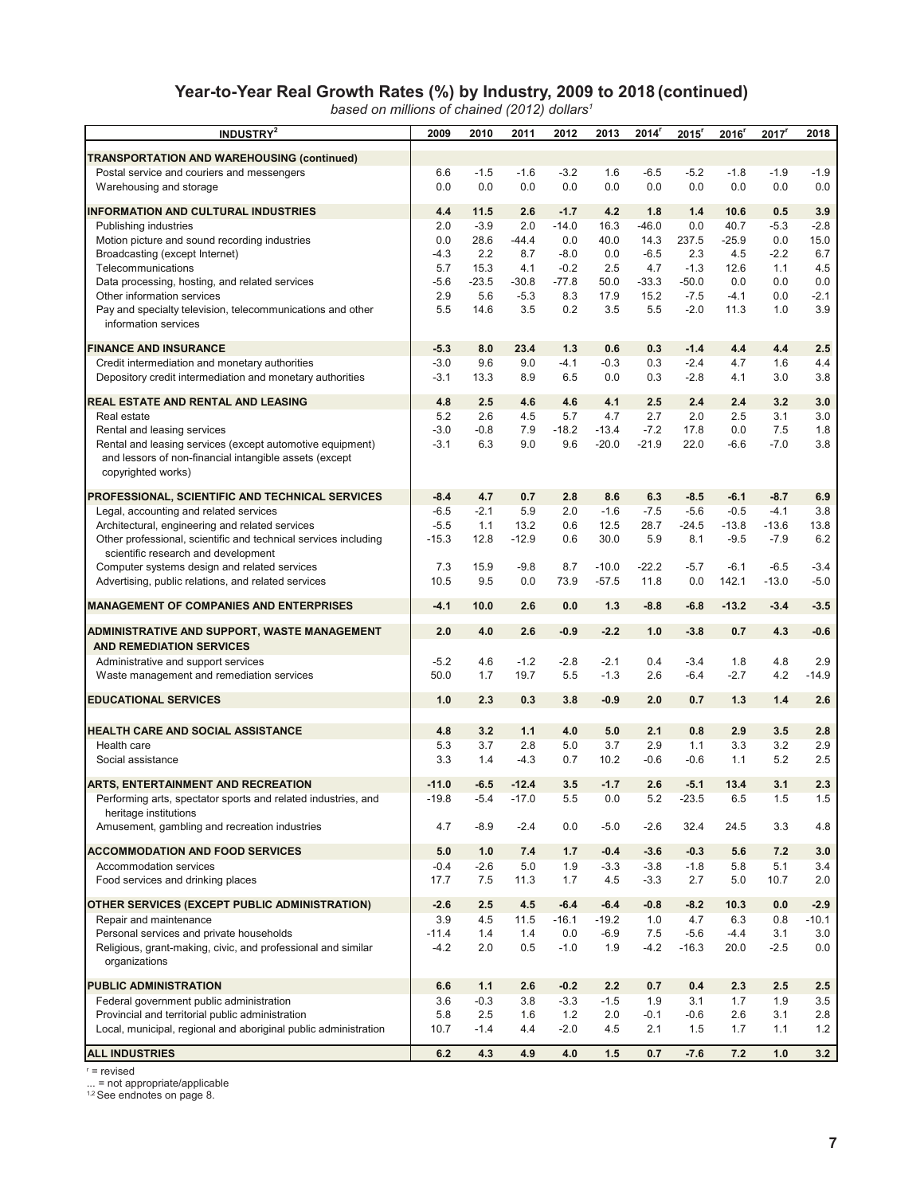# **Year-to-Year Real Growth Rates (%) by Industry, 2009 to 2018 (continued)**

*based on millions of chained (2012) dollars1*

| <b>INDUSTRY</b> <sup>2</sup>                                                                        | 2009           | 2010           | 2011           | 2012             | 2013               | 2014'           | 2015          | $2016$ <sup>r</sup> | $2017$ <sup>r</sup> | 2018             |
|-----------------------------------------------------------------------------------------------------|----------------|----------------|----------------|------------------|--------------------|-----------------|---------------|---------------------|---------------------|------------------|
|                                                                                                     |                |                |                |                  |                    |                 |               |                     |                     |                  |
| TRANSPORTATION AND WAREHOUSING (continued)<br>Postal service and couriers and messengers            | 6.6            | $-1.5$         | $-1.6$         | $-3.2$           | 1.6                | $-6.5$          | $-5.2$        | $-1.8$              | $-1.9$              | $-1.9$           |
| Warehousing and storage                                                                             | 0.0            | 0.0            | 0.0            | 0.0              | 0.0                | 0.0             | 0.0           | 0.0                 | 0.0                 | 0.0              |
|                                                                                                     |                |                |                |                  |                    |                 |               |                     |                     |                  |
| <b>INFORMATION AND CULTURAL INDUSTRIES</b>                                                          | 4.4            | 11.5           | 2.6            | $-1.7$           | 4.2                | 1.8             | 1.4           | 10.6                | 0.5                 | 3.9              |
| Publishing industries<br>Motion picture and sound recording industries                              | 2.0<br>0.0     | $-3.9$<br>28.6 | 2.0<br>$-44.4$ | $-14.0$<br>0.0   | 16.3<br>40.0       | $-46.0$<br>14.3 | 0.0<br>237.5  | 40.7<br>$-25.9$     | $-5.3$<br>0.0       | $-2.8$<br>15.0   |
| Broadcasting (except Internet)                                                                      | $-4.3$         | 2.2            | 8.7            | $-8.0$           | 0.0                | $-6.5$          | 2.3           | 4.5                 | $-2.2$              | 6.7              |
| Telecommunications                                                                                  | 5.7            | 15.3           | 4.1            | $-0.2$           | 2.5                | 4.7             | $-1.3$        | 12.6                | 1.1                 | 4.5              |
| Data processing, hosting, and related services                                                      | $-5.6$         | $-23.5$        | $-30.8$        | $-77.8$          | 50.0               | $-33.3$         | $-50.0$       | 0.0                 | 0.0                 | 0.0              |
| Other information services                                                                          | 2.9            | 5.6            | $-5.3$         | 8.3              | 17.9               | 15.2            | $-7.5$        | $-4.1$              | 0.0                 | $-2.1$           |
| Pay and specialty television, telecommunications and other                                          | 5.5            | 14.6           | 3.5            | 0.2              | 3.5                | 5.5             | $-2.0$        | 11.3                | 1.0                 | 3.9              |
| information services                                                                                |                |                |                |                  |                    |                 |               |                     |                     |                  |
| <b>FINANCE AND INSURANCE</b>                                                                        | $-5.3$         | 8.0            | 23.4           | 1.3              | 0.6                | 0.3             | $-1.4$        | 4.4                 | 4.4                 | 2.5              |
| Credit intermediation and monetary authorities                                                      | $-3.0$         | 9.6            | 9.0            | $-4.1$           | $-0.3$             | 0.3             | $-2.4$        | 4.7                 | 1.6                 | 4.4              |
| Depository credit intermediation and monetary authorities                                           | $-3.1$         | 13.3           | 8.9            | 6.5              | 0.0                | 0.3             | $-2.8$        | 4.1                 | 3.0                 | 3.8              |
| REAL ESTATE AND RENTAL AND LEASING                                                                  | 4.8            | 2.5            | 4.6            | 4.6              | 4.1                | 2.5             | 2.4           | 2.4                 | 3.2                 | 3.0              |
| Real estate                                                                                         | 5.2            | 2.6            | 4.5            | 5.7              | 4.7                | 2.7             | 2.0           | 2.5                 | 3.1                 | 3.0              |
| Rental and leasing services                                                                         | $-3.0$         | $-0.8$         | 7.9            | $-18.2$          | $-13.4$            | $-7.2$          | 17.8          | 0.0                 | 7.5                 | 1.8              |
| Rental and leasing services (except automotive equipment)                                           | $-3.1$         | 6.3            | 9.0            | 9.6              | $-20.0$            | $-21.9$         | 22.0          | $-6.6$              | $-7.0$              | 3.8              |
| and lessors of non-financial intangible assets (except                                              |                |                |                |                  |                    |                 |               |                     |                     |                  |
| copyrighted works)                                                                                  |                |                |                |                  |                    |                 |               |                     |                     |                  |
| PROFESSIONAL, SCIENTIFIC AND TECHNICAL SERVICES                                                     | $-8.4$         | 4.7            | 0.7            | 2.8              | 8.6                | 6.3             | $-8.5$        | $-6.1$              | $-8.7$              | 6.9              |
| Legal, accounting and related services                                                              | $-6.5$         | $-2.1$         | 5.9            | 2.0              | $-1.6$             | $-7.5$          | $-5.6$        | $-0.5$              | $-4.1$              | 3.8              |
| Architectural, engineering and related services                                                     | $-5.5$         | 1.1            | 13.2           | 0.6              | 12.5               | 28.7            | $-24.5$       | $-13.8$             | $-13.6$             | 13.8             |
| Other professional, scientific and technical services including                                     | $-15.3$        | 12.8           | $-12.9$        | 0.6              | 30.0               | 5.9             | 8.1           | $-9.5$              | $-7.9$              | 6.2              |
| scientific research and development                                                                 |                |                |                |                  |                    |                 |               |                     |                     |                  |
| Computer systems design and related services<br>Advertising, public relations, and related services | 7.3<br>10.5    | 15.9<br>9.5    | $-9.8$<br>0.0  | 8.7<br>73.9      | $-10.0$<br>$-57.5$ | $-22.2$<br>11.8 | $-5.7$<br>0.0 | $-6.1$<br>142.1     | $-6.5$<br>$-13.0$   | $-3.4$<br>$-5.0$ |
|                                                                                                     |                |                |                |                  |                    |                 |               |                     |                     |                  |
| <b>MANAGEMENT OF COMPANIES AND ENTERPRISES</b>                                                      | $-4.1$         | 10.0           | 2.6            | 0.0              | 1.3                | $-8.8$          | $-6.8$        | $-13.2$             | $-3.4$              | $-3.5$           |
| ADMINISTRATIVE AND SUPPORT, WASTE MANAGEMENT                                                        | 2.0            | 4.0            | 2.6            | $-0.9$           | $-2.2$             | 1.0             | $-3.8$        | 0.7                 | 4.3                 | $-0.6$           |
| <b>AND REMEDIATION SERVICES</b>                                                                     |                |                |                |                  |                    |                 |               |                     |                     |                  |
| Administrative and support services                                                                 | $-5.2$         | 4.6            | $-1.2$         | $-2.8$           | $-2.1$             | 0.4             | $-3.4$        | 1.8                 | 4.8                 | 2.9              |
| Waste management and remediation services                                                           | 50.0           | 1.7            | 19.7           | 5.5              | $-1.3$             | 2.6             | $-6.4$        | $-2.7$              | 4.2                 | $-14.9$          |
| <b>EDUCATIONAL SERVICES</b>                                                                         | 1.0            | 2.3            | 0.3            | 3.8              | $-0.9$             | 2.0             | 0.7           | 1.3                 | 1.4                 | 2.6              |
|                                                                                                     |                |                |                |                  |                    |                 |               |                     |                     |                  |
| <b>HEALTH CARE AND SOCIAL ASSISTANCE</b>                                                            | 4.8            | 3.2            | 1.1            | 4.0              | 5.0                | 2.1             | 0.8           | 2.9                 | 3.5                 | 2.8              |
| Health care                                                                                         | 5.3            | 3.7            | 2.8            | 5.0              | 3.7                | 2.9             | 1.1           | 3.3                 | 3.2                 | 2.9              |
| Social assistance                                                                                   | 3.3            | 1.4            | $-4.3$         | 0.7              | 10.2               | $-0.6$          | $-0.6$        | 1.1                 | 5.2                 | 2.5              |
| <b>ARTS, ENTERTAINMENT AND RECREATION</b>                                                           | $-11.0$        | $-6.5$         | $-12.4$        | 3.5              | $-1.7$             | 2.6             | $-5.1$        | 13.4                | 3.1                 | 2.3              |
| Performing arts, spectator sports and related industries, and                                       | $-19.8$        | $-5.4$         | $-17.0$        | 5.5              | 0.0                | 5.2             | $-23.5$       | 6.5                 | 1.5                 | 1.5              |
| heritage institutions                                                                               |                |                |                |                  |                    |                 |               |                     |                     |                  |
| Amusement, gambling and recreation industries                                                       | 4.7            | $-8.9$         | $-2.4$         | 0.0              | $-5.0$             | $-2.6$          | 32.4          | 24.5                | 3.3                 | 4.8              |
| <b>ACCOMMODATION AND FOOD SERVICES</b>                                                              | 5.0            | 1.0            | 7.4            | 1.7              | $-0.4$             | $-3.6$          | $-0.3$        | 5.6                 | 7.2                 | 3.0              |
| Accommodation services                                                                              | $-0.4$         | $-2.6$         | 5.0            | 1.9              | $-3.3$             | $-3.8$          | $-1.8$        | 5.8                 | 5.1                 | 3.4              |
| Food services and drinking places                                                                   | 17.7           | 7.5            | 11.3           | 1.7              | 4.5                | $-3.3$          | 2.7           | 5.0                 | 10.7                | 2.0              |
|                                                                                                     |                |                |                |                  |                    |                 |               |                     |                     |                  |
| OTHER SERVICES (EXCEPT PUBLIC ADMINISTRATION)                                                       | $-2.6$         | 2.5            | 4.5            | $-6.4$           | $-6.4$             | $-0.8$          | $-8.2$        | 10.3                | 0.0                 | $-2.9$           |
| Repair and maintenance<br>Personal services and private households                                  | 3.9<br>$-11.4$ | 4.5<br>1.4     | 11.5<br>1.4    | $-16.1$<br>0.0   | $-19.2$<br>$-6.9$  | 1.0<br>7.5      | 4.7<br>$-5.6$ | 6.3<br>$-4.4$       | 0.8<br>3.1          | $-10.1$<br>3.0   |
| Religious, grant-making, civic, and professional and similar                                        | $-4.2$         | 2.0            | 0.5            | $-1.0$           | 1.9                | $-4.2$          | $-16.3$       | 20.0                | $-2.5$              | 0.0              |
| organizations                                                                                       |                |                |                |                  |                    |                 |               |                     |                     |                  |
| <b>PUBLIC ADMINISTRATION</b>                                                                        |                |                |                |                  |                    |                 |               |                     |                     |                  |
| Federal government public administration                                                            | 6.6<br>3.6     | 1.1<br>$-0.3$  | 2.6<br>3.8     | $-0.2$<br>$-3.3$ | 2.2<br>$-1.5$      | 0.7<br>1.9      | 0.4<br>3.1    | 2.3<br>1.7          | 2.5<br>1.9          | 2.5<br>3.5       |
| Provincial and territorial public administration                                                    | 5.8            | 2.5            | 1.6            | 1.2              | 2.0                | -0.1            | $-0.6$        | 2.6                 | 3.1                 | 2.8              |
| Local, municipal, regional and aboriginal public administration                                     | 10.7           | $-1.4$         | 4.4            | $-2.0$           | 4.5                | 2.1             | 1.5           | 1.7                 | 1.1                 | 1.2              |
|                                                                                                     |                |                |                |                  |                    |                 |               |                     |                     |                  |
| <b>ALL INDUSTRIES</b>                                                                               | 6.2            | 4.3            | 4.9            | 4.0              | 1.5                | 0.7             | $-7.6$        | 7.2                 | 1.0                 | 3.2              |

r = revised

... = not appropriate/applicable<br><sup>1,2</sup> See endnotes on page 8.